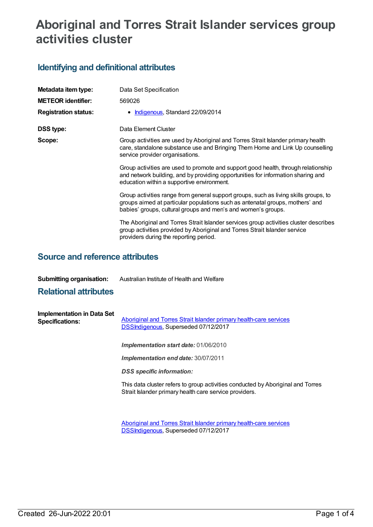# **Aboriginal and Torres Strait Islander services group activities cluster**

# **Identifying and definitional attributes**

| Metadata item type:         | Data Set Specification                                                                                                                                                                                                                 |
|-----------------------------|----------------------------------------------------------------------------------------------------------------------------------------------------------------------------------------------------------------------------------------|
| <b>METEOR identifier:</b>   | 569026                                                                                                                                                                                                                                 |
| <b>Registration status:</b> | • Indigenous, Standard 22/09/2014                                                                                                                                                                                                      |
| <b>DSS type:</b>            | Data Element Cluster                                                                                                                                                                                                                   |
| Scope:                      | Group activities are used by Aboriginal and Torres Strait Islander primary health<br>care, standalone substance use and Bringing Them Home and Link Up counselling<br>service provider organisations.                                  |
|                             | Group activities are used to promote and support good health, through relationship<br>and network building, and by providing opportunities for information sharing and<br>education within a supportive environment.                   |
|                             | Group activities range from general support groups, such as living skills groups, to<br>groups aimed at particular populations such as antenatal groups, mothers' and<br>babies' groups, cultural groups and men's and women's groups. |
|                             | The Aboriginal and Torres Strait Islander services group activities cluster describes<br>group activities provided by Aboriginal and Torres Strait Islander service<br>providers during the reporting period.                          |

## **Source and reference attributes**

| <b>Submitting organisation:</b> | Australian Institute of Health and Welfare |
|---------------------------------|--------------------------------------------|
|---------------------------------|--------------------------------------------|

### **Relational attributes**

| Implementation in Data Set<br><b>Specifications:</b> | Aboriginal and Torres Strait Islander primary health-care services<br><b>DSSIndigenous, Superseded 07/12/2017</b>                         |
|------------------------------------------------------|-------------------------------------------------------------------------------------------------------------------------------------------|
|                                                      | <b>Implementation start date: 01/06/2010</b>                                                                                              |
|                                                      | <b>Implementation end date: 30/07/2011</b>                                                                                                |
|                                                      | <b>DSS</b> specific information:                                                                                                          |
|                                                      | This data cluster refers to group activities conducted by Aboriginal and Torres<br>Strait Islander primary health care service providers. |
|                                                      |                                                                                                                                           |

Aboriginal and Torres Strait Islander primary health-care services [DSSIndigenous,](https://meteor.aihw.gov.au/content/664757) Superseded 07/12/2017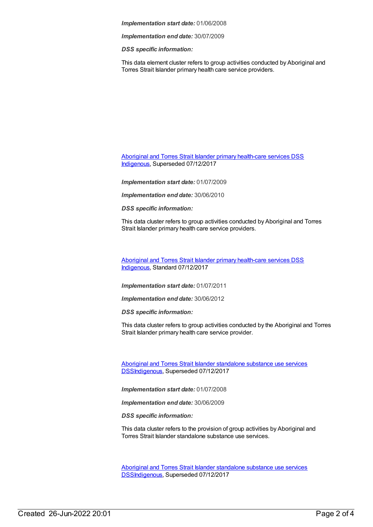*Implementation start date:* 01/06/2008

*Implementation end date:* 30/07/2009

*DSS specific information:*

This data element cluster refers to group activities conducted by Aboriginal and Torres Strait Islander primary health care service providers.

Aboriginal and Torres Strait Islander primary [health-care](https://meteor.aihw.gov.au/content/664859) services DSS [Indigenous](https://meteor.aihw.gov.au/RegistrationAuthority/6), Superseded 07/12/2017

*Implementation start date:* 01/07/2009

*Implementation end date:* 30/06/2010

*DSS specific information:*

This data cluster refers to group activities conducted by Aboriginal and Torres Strait Islander primary health care service providers.

Aboriginal and Torres Strait Islander primary [health-care](https://meteor.aihw.gov.au/content/664877) services DSS [Indigenous](https://meteor.aihw.gov.au/RegistrationAuthority/6), Standard 07/12/2017

*Implementation start date:* 01/07/2011

*Implementation end date:* 30/06/2012

*DSS specific information:*

This data cluster refers to group activities conducted by the Aboriginal and Torres Strait Islander primary health care service provider.

Aboriginal and Torres Strait Islander standalone substance use services [DSS](https://meteor.aihw.gov.au/content/664760)[Indigenous](https://meteor.aihw.gov.au/RegistrationAuthority/6)[,](https://meteor.aihw.gov.au/content/664760) Superseded 07/12/2017

*Implementation start date:* 01/07/2008

*Implementation end date:* 30/06/2009

*DSS specific information:*

This data cluster refers to the provision of group activities by Aboriginal and Torres Strait Islander standalone substance use services.

Aboriginal and Torres Strait Islander standalone substance use services [DSSIndigenous,](https://meteor.aihw.gov.au/content/561172) Superseded 07/12/2017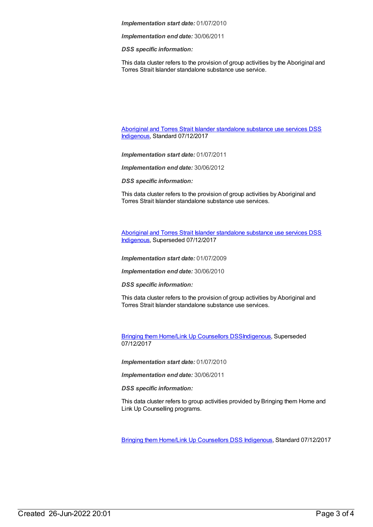*Implementation start date:* 01/07/2010

*Implementation end date:* 30/06/2011

*DSS specific information:*

This data cluster refers to the provision of group activities by the Aboriginal and Torres Strait Islander standalone substance use service.

Aboriginal and Torres Strait Islander [standalone](https://meteor.aihw.gov.au/content/664879) substance use services DSS [Indigenous](https://meteor.aihw.gov.au/RegistrationAuthority/6), Standard 07/12/2017

*Implementation start date:* 01/07/2011

*Implementation end date:* 30/06/2012

*DSS specific information:*

This data cluster refers to the provision of group activities by Aboriginal and Torres Strait Islander standalone substance use services.

Aboriginal and Torres Strait Islander [standalone](https://meteor.aihw.gov.au/content/664861) substance use services DSS [Indigenous](https://meteor.aihw.gov.au/RegistrationAuthority/6), Superseded 07/12/2017

*Implementation start date:* 01/07/2009

*Implementation end date:* 30/06/2010

*DSS specific information:*

This data cluster refers to the provision of group activities by Aboriginal and Torres Strait Islander standalone substance use services.

Bringing them Home/Link Up [Counsellors](https://meteor.aihw.gov.au/content/561178) DSS[Indigenous](https://meteor.aihw.gov.au/RegistrationAuthority/6), Superseded 07/12/2017

*Implementation start date:* 01/07/2010

*Implementation end date:* 30/06/2011

*DSS specific information:*

This data cluster refers to group activities provided by Bringing them Home and Link Up Counselling programs.

Bringing them Home/Link Up [Counsellors](https://meteor.aihw.gov.au/content/664881) DSS [Indigenous](https://meteor.aihw.gov.au/RegistrationAuthority/6), Standard 07/12/2017